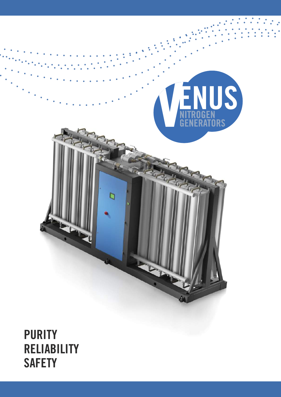

**RELIABILITY SAFETY**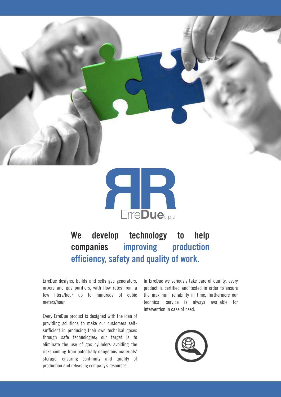



#### **We develop technology to help companies improving production efficiency, safety and quality of work.**

ErreDue designs, builds and sells gas generators, mixers and gas purifiers, with flow rates from a few liters/hour up to hundreds of cubic meters/hour.

Every ErreDue product is designed with the idea of providing solutions to make our customers selfsufficient in producing their own technical gases through safe technologies; our target is to eliminate the use of gas cylinders avoiding the risks coming from potentially dangerous materials' storage, ensuring continuity and quality of production and releasing company's resources.

In ErreDue we seriously take care of quality: every product is certified and tested in order to ensure the maximum reliability in time, furthermore our technical service is always available for intervention in case of need.

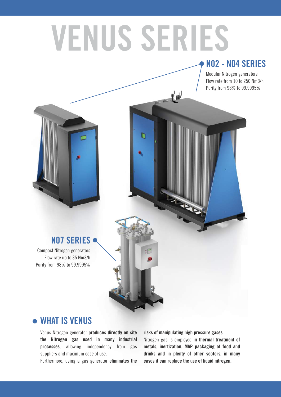## **VENUS SERIES**

#### **N02 - N04 SERIES**

Modular Nitrogen generators Flow rate from 10 to 250 Nm3/h Purity from 98% to 99.9995%



#### **N07 SERIES**

Compact Nitrogen generators Flow rate up to 35 Nm3/h Purity from 98% to 99.9995%



#### **WHAT IS VENUS**

Venus Nitrogen generator **produces directly on site the Nitrogen gas used in many industrial processes**, allowing independency from gas suppliers and maximum ease of use.

Furthermore, using a gas generator **eliminates the**

**risks of manipulating high pressure gases**.

Nitrogen gas is employed i**n thermal treatment of metals, inertization, MAP packaging of food and drinks and in plenty of other sectors, in many cases it can replace the use of liquid nitrogen.**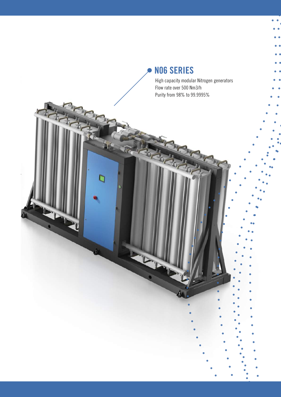#### **N06 SERIES**

 $\overline{C}$ 

ם

High capacity modular Nitrogen generators Flow rate over 500 Nm3/h Purity from 98% to 99.9995%

ò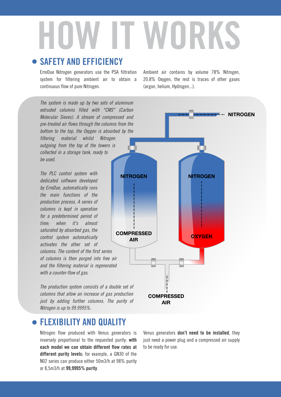# **HOW IT WORKS**

#### **SAFETY AND EFFICIENCY**

ErreDue Nitrogen generators use the PSA filtration system for filtering ambient air to obtain a continuous flow of pure Nitrogen.

The system is made up by two sets of aluminum extruded columns filled with "CMS" (Carbon Molecular Sieves). A stream of compressed and pre-treated air flows through the columns from the bottom to the top, the Oxygen is absorbed by the filtering material whilst Nitrogen outgoing from the top of the towers is collected in a storage tank, ready to

The PLC control system with dedicated software developed by ErreDue, automatically runs the main functions of the production process. A series of columns is kept in operation for a predetermined period of time; when it's almost saturated by absorbed gas, the control system automatically activates the other set of columns. The content of the first series of columns is then purged into free air and the filtering material is regenerated with a counter-flow of gas.

be used.

The production system consists of a double set of columns that allow an increase of gas production just by adding further columns. The purity of Nitrogen is up to 99.9995%.

#### **FLEXIBILITY AND QUALITY**

Nitrogen flow produced with Venus generators is inversely proportional to the requested purity: **with each model we can obtain different flow rates at different purity levels**; for example, a GN30 of the N02 series can produce either 50m3/h at 98% purity or 8,5m3/h at **99,9995% purity**.

Ambient air contains by volume 78% Nitrogen, 20.8% Oxygen, the rest is traces of other gases (argon, helium, Hydrogen...).



Venus generators **don't need to be installed**, they just need a power plug and a compressed air supply to be ready for use.